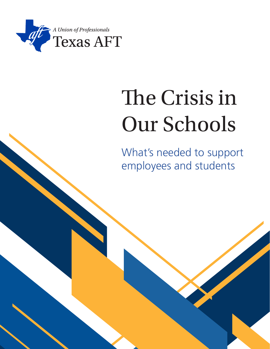

# The Crisis in Our Schools

What's needed to support employees and students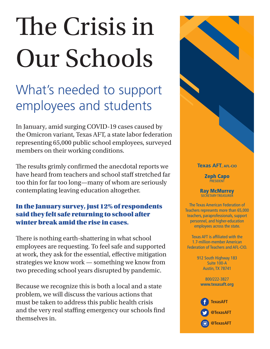# The Crisis in Our Schools

# What's needed to support employees and students

In January, amid surging COVID-19 cases caused by the Omicron variant, Texas AFT, a state labor federation representing 65,000 public school employees, surveyed members on their working conditions.

The results grimly confirmed the anecdotal reports we have heard from teachers and school staff stretched far too thin for far too long—many of whom are seriously contemplating leaving education altogether.

### In the January survey, just 12% of respondents said they felt safe returning to school after winter break amid the rise in cases.

There is nothing earth-shattering in what school employees are requesting. To feel safe and supported at work, they ask for the essential, effective mitigation strategies we know work — something we know from two preceding school years disrupted by pandemic.

Because we recognize this is both a local and a state problem, we will discuss the various actions that must be taken to address this public health crisis and the very real staffing emergency our schools find themselves in.

#### **Texas AFT, AFL-CIO**

Zeph Capo **PRESIDENT** 

Ray McMurrey SECRETARY-TREASURER

The Texas American Federation of Teachers represents more than 65,000 teachers, paraprofessionals, support personnel, and higher-education employees across the state.

Texas AFT is affiliated with the 1.7-million-member American Federation of Teachers and AFL-CIO.

> 912 South Highway 183 Suite 100-A Austin, TX 78741

800/222-3827 **www.texasaft.org**

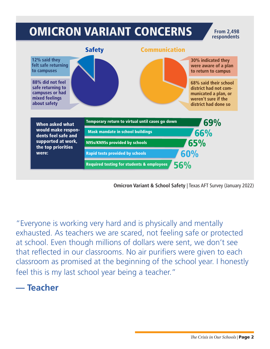

**Omicron Variant & School Safety** | Texas AFT Survey (January 2022)

"Everyone is working very hard and is physically and mentally exhausted. As teachers we are scared, not feeling safe or protected at school. Even though millions of dollars were sent, we don't see that reflected in our classrooms. No air purifiers were given to each classroom as promised at the beginning of the school year. I honestly feel this is my last school year being a teacher."

# **— Teacher**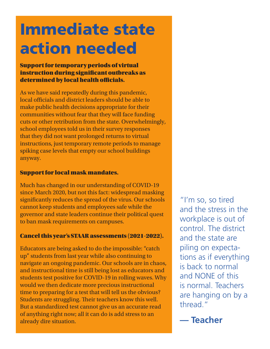# Immediate state action needed

#### Support for temporary periods of virtual instruction during significant outbreaks as determined by local health officials.

As we have said repeatedly during this pandemic, local officials and district leaders should be able to make public health decisions appropriate for their communities without fear that they will face funding cuts or other retribution from the state. Overwhelmingly, school employees told us in their survey responses that they did not want prolonged returns to virtual instructions, just temporary remote periods to manage spiking case levels that empty our school buildings anyway.

#### Support for local mask mandates.

Much has changed in our understanding of COVID-19 since March 2020, but not this fact: widespread masking significantly reduces the spread of the virus. Our schools cannot keep students and employees safe while the governor and state leaders continue their political quest to ban mask requirements on campuses.

### Cancel this year's STAAR assessments (2021-2022).

Educators are being asked to do the impossible: "catch up" students from last year while also continuing to navigate an ongoing pandemic. Our schools are in chaos, and instructional time is still being lost as educators and students test positive for COVID-19 in rolling waves. Why would we then dedicate more precious instructional time to preparing for a test that will tell us the obvious? Students are struggling. Their teachers know this well. But a standardized test cannot give us an accurate read of anything right now; all it can do is add stress to an already dire situation.

"I'm so, so tired and the stress in the workplace is out of control. The district and the state are piling on expectations as if everything is back to normal and NONE of this is normal. Teachers are hanging on by a thread."

**— Teacher**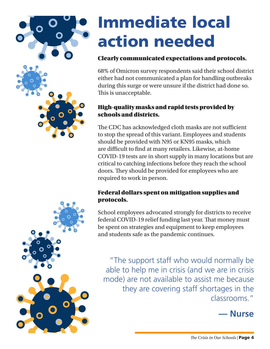

# Immediate local action needed

### Clearly communicated expectations and protocols.

68% of Omicron survey respondents said their school district either had not communicated a plan for handling outbreaks during this surge or were unsure if the district had done so. This is unacceptable.

### High-quality masks and rapid tests provided by schools and districts.

The CDC has acknowledged cloth masks are not sufficient to stop the spread of this variant. Employees and students should be provided with N95 or KN95 masks, which are difficult to find at many retailers. Likewise, at-home COVID-19 tests are in short supply in many locations but are critical to catching infections before they reach the school doors. They should be provided for employees who are required to work in person.

### Federal dollars spent on mitigation supplies and protocols.

School employees advocated strongly for districts to receive federal COVID-19 relief funding last year. That money must be spent on strategies and equipment to keep employees and students safe as the pandemic continues.

"The support staff who would normally be able to help me in crisis (and we are in crisis mode) are not available to assist me because they are covering staff shortages in the classrooms."

# **— Nurse**

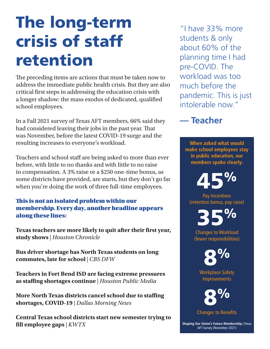# The long-term crisis of staff retention

The preceding items are actions that must be taken now to address the immediate public health crisis. But they are also critical first steps in addressing the education crisis with a longer shadow: the mass exodus of dedicated, qualified school employees.

In a Fall 2021 survey of Texas AFT members, 66% said they had considered leaving their jobs in the past year. That was November, before the latest COVID-19 surge and the resulting increases to everyone's workload.

Teachers and school staff are being asked to more than ever before, with little to no thanks and with little to no raise in compensation. A 3% raise or a \$250 one-time bonus, as some districts have provided, are starts, but they don't go far when you're doing the work of three full-time employees.

#### This is not an isolated problem within our membership. Every day, another headline appears along these lines:

**Texas teachers are more likely to quit after their first year, study shows** | *Houston Chronicle*

**Bus driver shortage has North Texas students on long commutes, late for school** | *CBS DFW*

**Teachers in Fort Bend ISD are facing extreme pressures as staffing shortages continue** | *Houston Public Media*

**More North Texas districts cancel school due to staffing shortages, COVID-19** | *Dallas Morning News*

**Central Texas school districts start new semester trying to fill employee gaps** | *KWTX*

"I have 33% more students & only about 60% of the planning time I had pre-COVID. The workload was too much before the pandemic. This is just intolerable now."

# **— Teacher**

**When asked what would make school employees stay in public education, our members spoke clearly:**

45%

Pay Incentives (retention bonus, pay raise)

35%

Changes to Workload (fewer responsibilities)

8%

Workplace Safety Improvements



Changes to Benefits

**Shaping Our Union's Future Membership** | Texas AFT Survey (November 2021)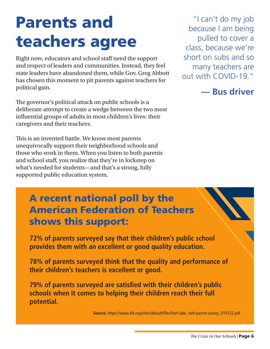# Parents and teachers agree

Right now, educators and school staff need the support and respect of leaders and communities. Instead, they feel state leaders have abandoned them, while Gov. Greg Abbott has chosen this moment to pit parents against teachers for political gain.

The governor's political attack on public schools is a deliberate attempt to create a wedge between the two most influential groups of adults in most children's lives: their caregivers and their teachers.

This is an invented battle. We know most parents unequivocally support their neighborhood schools and those who work in them. When you listen to both parents and school staff, you realize that they're in lockstep on what's needed for students—and that's a strong, fully supported public education system.

"I can't do my job because I am being pulled to cover a class, because we're short on subs and so many teachers are out with COVID-19."

**— Bus driver**

# A recent national poll by the American Federation of Teachers shows this support:

**72% of parents surveyed say that their children's public school provides them with an excellent or good quality education.** 

**78% of parents surveyed think that the quality and performance of their children's teachers is excellent or good.** 

**79% of parents surveyed are satisfied with their children's public schools when it comes to helping their children reach their full potential.**

**Source:** https://www.aft.org/sites/default/files/hart-lake\_natl-parent-survey\_010722.pdf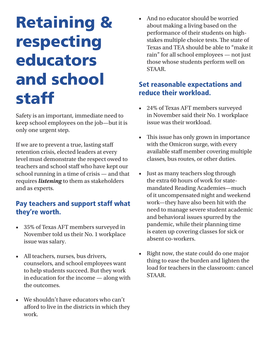# Retaining & respecting educators and school staff

Safety is an important, immediate need to keep school employees on the job—but it is only one urgent step.

If we are to prevent a true, lasting staff retention crisis, elected leaders at every level must demonstrate the respect owed to teachers and school staff who have kept our school running in a time of crisis — and that requires *listening* to them as stakeholders and as experts.

# Pay teachers and support staff what they're worth.

- 35% of Texas AFT members surveyed in November told us their No. 1 workplace issue was salary.
- All teachers, nurses, bus drivers, counselors, and school employees want to help students succeed. But they work in education for the income — along with the outcomes.
- We shouldn't have educators who can't afford to live in the districts in which they work.

• And no educator should be worried about making a living based on the performance of their students on highstakes multiple choice tests. The state of Texas and TEA should be able to "make it rain" for all school employees — not just those whose students perform well on STAAR.

## Set reasonable expectations and reduce their workload.

- 24% of Texas AFT members surveyed in November said their No. 1 workplace issue was their workload.
- This issue has only grown in importance with the Omicron surge, with every available staff member covering multiple classes, bus routes, or other duties.
- Just as many teachers slog through the extra 60 hours of work for statemandated Reading Academies—much of it uncompensated night and weekend work—they have also been hit with the need to manage severe student academic and behavioral issues spurred by the pandemic, while their planning time is eaten up covering classes for sick or absent co-workers.
- Right now, the state could do one major thing to ease the burden and lighten the load for teachers in the classroom: cancel STAAR.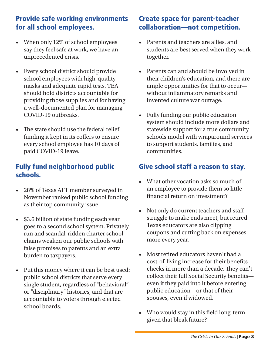# Provide safe working environments for all school employees.

- When only 12% of school employees say they feel safe at work, we have an unprecedented crisis.
- Every school district should provide school employees with high-quality masks and adequate rapid tests. TEA should hold districts accountable for providing those supplies and for having a well-documented plan for managing COVID-19 outbreaks.
- The state should use the federal relief funding it kept in its coffers to ensure every school employee has 10 days of paid COVID-19 leave.

## Fully fund neighborhood public schools.

- 28% of Texas AFT member surveyed in November ranked public school funding as their top community issue.
- \$3.6 billion of state funding each year goes to a second school system. Privately run and scandal-ridden charter school chains weaken our public schools with false promises to parents and an extra burden to taxpayers.
- Put this money where it can be best used: public school districts that serve every single student, regardless of "behavioral" or "disciplinary" histories, and that are accountable to voters through elected school boards.

# Create space for parent-teacher collaboration—not competition.

- Parents and teachers are allies, and students are best served when they work together.
- Parents can and should be involved in their children's education, and there are ample opportunities for that to occur without inflammatory remarks and invented culture war outrage.
- Fully funding our public education system should include more dollars and statewide support for a true community schools model with wraparound services to support students, families, and communities.

## Give school staff a reason to stay.

- What other vocation asks so much of an employee to provide them so little financial return on investment?
- Not only do current teachers and staff struggle to make ends meet, but retired Texas educators are also clipping coupons and cutting back on expenses more every year.
- Most retired educators haven't had a cost-of-living increase for their benefits checks in more than a decade. They can't collect their full Social Security benefits even if they paid into it before entering public education—or that of their spouses, even if widowed.
- Who would stay in this field long-term given that bleak future?